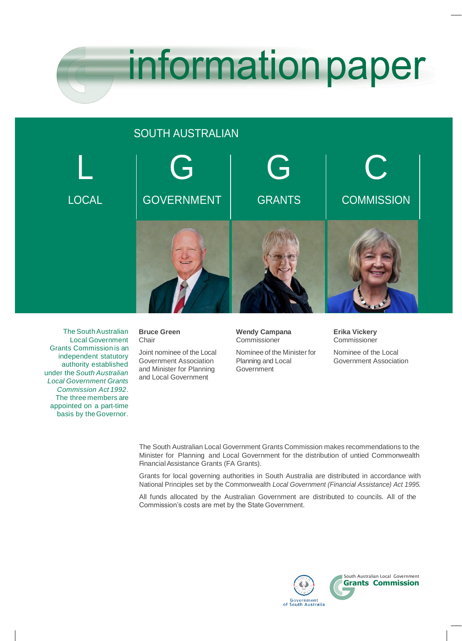

# SOUTH AUSTRALIAN



The South Australian Local Government Grants Commission is an independent statutory authority established under the *South Australian Local Government Grants Commission Act 1992*. The three members are appointed on a part-time basis by theGovernor.

**Bruce Green** Chair

Joint nominee of the Local Government Association and Minister for Planning and Local Government

#### **Wendy Campana** Commissioner

Nominee of the Minister for Planning and Local Government

**Erika Vickery Commissioner** 

Nominee of the Local Government Association

The South Australian Local Government Grants Commission makes recommendations to the Minister for Planning and Local Government for the distribution of untied Commonwealth FinancialAssistance Grants (FA Grants).

Grants for local governing authorities in South Australia are distributed in accordance with National Principles set by the Commonwealth *Local Government (Financial Assistance) Act 1995.*

All funds allocated by the Australian Government are distributed to councils. All of the Commission's costs are met by the State Government.

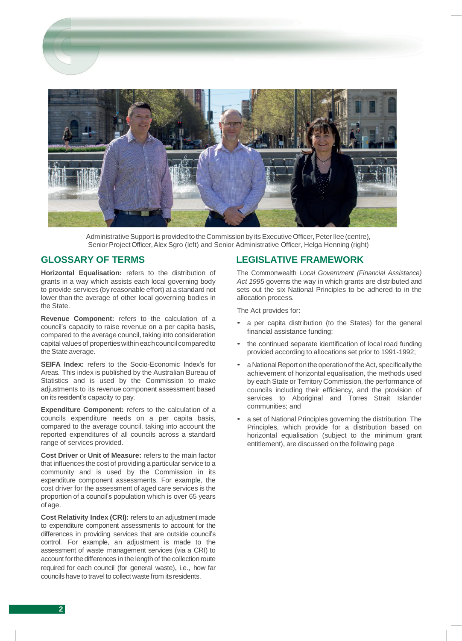

Administrative Support is provided to the Commission by its Executive Officer, Peter Ilee (centre), Senior Project Officer, Alex Sgro (left) and Senior Administrative Officer, Helga Henning (right)

## **GLOSSARY OF TERMS**

**Horizontal Equalisation:** refers to the distribution of grants in a way which assists each local governing body to provide services (by reasonable effort) at a standard not lower than the average of other local governing bodies in the State.

**Revenue Component:** refers to the calculation of a council's capacity to raise revenue on a per capita basis, compared to the average council, taking into consideration capital values of properties within each council compared to the State average.

**SEIFA Index:** refers to the Socio-Economic Index's for Areas. This index is published by the Australian Bureau of Statistics and is used by the Commission to make adjustments to its revenue component assessment based on its resident's capacity to pay.

**Expenditure Component:** refers to the calculation of a councils expenditure needs on a per capita basis, compared to the average council, taking into account the reported expenditures of all councils across a standard range of services provided.

**Cost Driver** or **Unit of Measure:** refers to the main factor that influences the cost of providing a particular service to a community and is used by the Commission in its expenditure component assessments. For example, the cost driver for the assessment of aged care services is the proportion of a council's population which is over 65 years of age.

**Cost Relativity Index (CRI):** refers to an adjustment made to expenditure component assessments to account for the differences in providing services that are outside council's control. For example, an adjustment is made to the assessment of waste management services (via a CRI) to account for the differences in the length of the collection route required for each council (for general waste), i.e., how far councils have to travelto collect waste from its residents.

## **LEGISLATIVE FRAMEWORK**

The Commonwealth *Local Government (Financial Assistance) Act 1995* governs the way in which grants are distributed and sets out the six National Principles to be adhered to in the allocation process.

The Act provides for:

- a per capita distribution (to the States) for the general financial assistance funding;
- the continued separate identification of local road funding provided according to allocations set prior to 1991-1992;
- a National Report on the operation of the Act, specifically the achievement of horizontal equalisation, the methods used by each State or Territory Commission, the performance of councils including their efficiency, and the provision of services to Aboriginal and Torres Strait Islander communities; and
- a set of National Principles governing the distribution. The Principles, which provide for a distribution based on horizontal equalisation (subject to the minimum grant entitlement), are discussed on the following page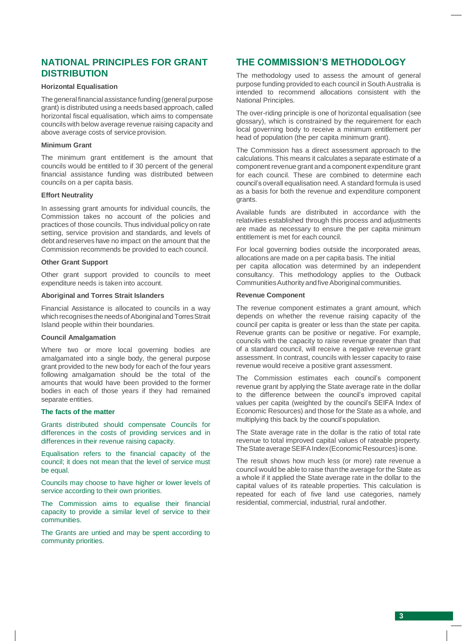## **NATIONAL PRINCIPLES FOR GRANT DISTRIBUTION**

#### **Horizontal Equalisation**

The general financial assistance funding (general purpose grant) is distributed using a needs based approach, called horizontal fiscal equalisation, which aims to compensate councils with below average revenue raising capacity and above average costs of service provision.

#### **Minimum Grant**

The minimum grant entitlement is the amount that councils would be entitled to if 30 percent of the general financial assistance funding was distributed between councils on a per capita basis.

#### **Effort Neutrality**

In assessing grant amounts for individual councils, the Commission takes no account of the policies and practices of those councils. Thus individual policy on rate setting, service provision and standards, and levels of debt and reserves have no impact on the amount that the Commission recommends be provided to each council.

#### **Other Grant Support**

Other grant support provided to councils to meet expenditure needs is taken into account.

#### **Aboriginal and Torres Strait Islanders**

Financial Assistance is allocated to councils in a way which recognises the needs of Aboriginal and Torres Strait Island people within their boundaries.

#### **Council Amalgamation**

Where two or more local governing bodies are amalgamated into a single body, the general purpose grant provided to the new body for each of the four years following amalgamation should be the total of the amounts that would have been provided to the former bodies in each of those years if they had remained separate entities.

#### **The facts of the matter**

Grants distributed should compensate Councils for differences in the costs of providing services and in differences in their revenue raising capacity.

Equalisation refers to the financial capacity of the council; it does not mean that the level of service must be equal.

Councils may choose to have higher or lower levels of service according to their own priorities.

The Commission aims to equalise their financial capacity to provide a similar level of service to their communities.

The Grants are untied and may be spent according to community priorities.

## **THE COMMISSION'S METHODOLOGY**

The methodology used to assess the amount of general purpose funding provided to each council in South Australia is intended to recommend allocations consistent with the National Principles.

The over-riding principle is one of horizontal equalisation (see glossary), which is constrained by the requirement for each local governing body to receive a minimum entitlement per head of population (the per capita minimum grant).

The Commission has a direct assessment approach to the calculations. This means it calculates a separate estimate of a component revenue grant and a component expenditure grant for each council. These are combined to determine each council's overall equalisation need. A standard formula is used as a basis for both the revenue and expenditure component grants.

Available funds are distributed in accordance with the relativities established through this process and adjustments are made as necessary to ensure the per capita minimum entitlement is met for each council.

For local governing bodies outside the incorporated areas, allocations are made on a per capita basis. The initial per capita allocation was determined by an independent consultancy. This methodology applies to the Outback CommunitiesAuthorityandfiveAboriginal communities.

#### **Revenue Component**

The revenue component estimates a grant amount, which depends on whether the revenue raising capacity of the council per capita is greater or less than the state per capita. Revenue grants can be positive or negative. For example, councils with the capacity to raise revenue greater than that of a standard council, will receive a negative revenue grant assessment. In contrast, councils with lesser capacity to raise revenue would receive a positive grant assessment.

The Commission estimates each council's component revenue grant by applying the State average rate in the dollar to the difference between the council's improved capital values per capita (weighted by the council's SEIFA Index of Economic Resources) and those for the State as a whole, and multiplying this back by the council'spopulation.

The State average rate in the dollar is the ratio of total rate revenue to total improved capital values of rateable property. The State average SEIFA Index (Economic Resources) is one.

The result shows how much less (or more) rate revenue a council would be able to raise than the average for the State as a whole if it applied the State average rate in the dollar to the capital values of its rateable properties. This calculation is repeated for each of five land use categories, namely residential, commercial, industrial, rural andother.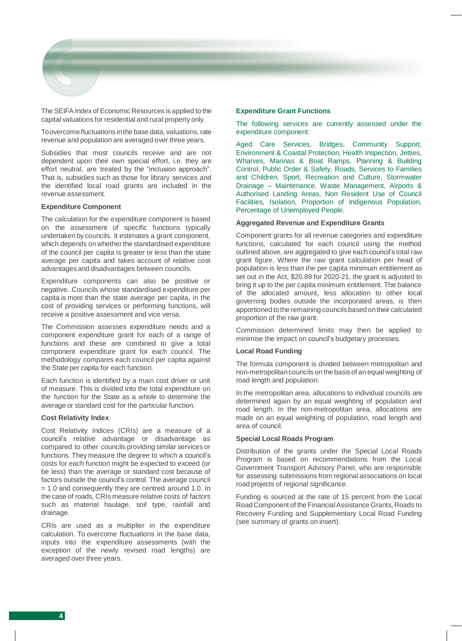

The SEIFA Index of Economic Resources is applied to the capital valuations for residential and rural property only.

Toovercome fluctuations inthe base data, valuations, rate revenue and population are averaged over three years.

Subsidies that most councils receive and are not dependent upon their own special effort, i.e. they are effort neutral, are treated by the "inclusion approach". That is, subsidies such as those for library services and the identified local road grants are included in the revenue assessment.

#### **Expenditure Component**

The calculation for the expenditure component is based on the assessment of specific functions typically undertaken by councils. It estimates a grant component, which depends on whether the standardised expenditure of the council per capita is greater or less than the state average per capita and takes account of relative cost advantages and disadvantages between councils.

Expenditure components can also be positive or negative. Councils whose standardised expenditure per capita is more than the state average per capita, in the cost of providing services or performing functions, will receive a positive assessment and vice versa.

The Commission assesses expenditure needs and a component expenditure grant for each of a range of functions and these are combined to give a total component expenditure grant for each council. The methodology compares each council per capita against the State per capita for each function.

Each function is identified by a main cost driver or unit of measure. This is divided into the total expenditure on the function for the State as a whole to determine the average or standard cost for the particular function.

#### **Cost Relativity Index**

Cost Relativity Indices (CRIs) are a measure of a council's relative advantage or disadvantage as compared to other councils providing similar services or functions. They measure the degree to which a council's costs for each function might be expected to exceed (or be less) than the average or standard cost because of factors outside the council's control. The average council = 1.0 and consequently they are centred around 1.0. In the case of roads, CRIs measure relative costs of factors such as material haulage, soil type, rainfall and drainage.

CRIs are used as a multiplier in the expenditure calculation. To overcome fluctuations in the base data, inputs into the expenditure assessments (with the exception of the newly revised road lengths) are averaged over three years.

#### **Expenditure Grant Functions**

The following services are currently assessed under the expenditure component:

Aged Care Services, Bridges, Community Support, Environment & Coastal Protection, Health Inspection, Jetties, Wharves, Marinas & Boat Ramps, Planning & Building Control, Public Order & Safety, Roads, Services to Families and Children, Sport, Recreation and Culture, Stormwater Drainage – Maintenance, Waste Management, Airports & Authorised Landing Areas, Non Resident Use of Council Facilities, Isolation, Proportion of Indigenous Population, Percentage of Unemployed People.

#### **Aggregated Revenue and Expenditure Grants**

Component grants for all revenue categories and expenditure functions, calculated for each council using the method outlined above, are aggregated to give each council's total raw grant figure. Where the raw grant calculation per head of population is less than the per capita minimum entitlement as set out in the Act, \$20.89 for 2020-21, the grant is adjusted to bring it up to the per capita minimum entitlement. The balance of the allocated amount, less allocation to other local governing bodies outside the incorporated areas, is then apportioned to the remaining councilsbased ontheir calculated proportion of the raw grant.

Commission determined limits may then be applied to minimise the impact on council's budgetary processes.

#### **Local Road Funding**

The formula component is divided between metropolitan and non-metropolitancouncils on the basisof an equal weighting of road length and population.

In the metropolitan area, allocations to individual councils are determined again by an equal weighting of population and road length. In the non-metropolitan area, allocations are made on an equal weighting of population, road length and area of council.

#### **Special Local Roads Program**

Distribution of the grants under the Special Local Roads Program is based on recommendations from the Local Government Transport Advisory Panel, who are responsible for assessing submissions from regional associations on local road projects of regional significance.

Funding is sourced at the rate of 15 percent from the Local Road Component of the Financial Assistance Grants, Roads to Recovery Funding and Supplementary Local Road Funding (see summary of grants on insert).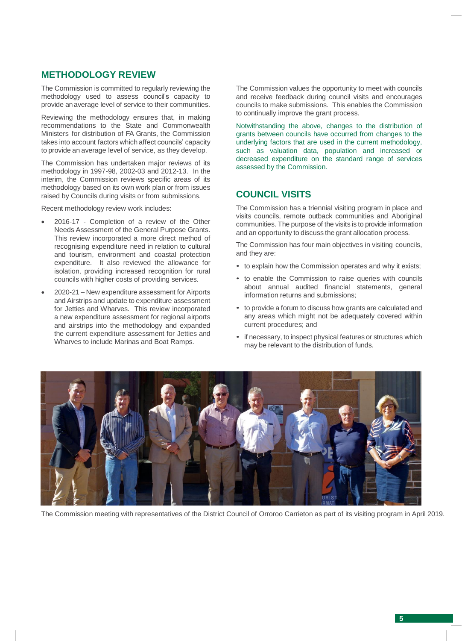## **METHODOLOGY REVIEW**

The Commission is committed to regularly reviewing the methodology used to assess council's capacity to provide an average level of service to their communities.

Reviewing the methodology ensures that, in making recommendations to the State and Commonwealth Ministers for distribution of FA Grants, the Commission takes into account factors which affect councils' capacity to provide an average level of service, as they develop.

The Commission has undertaken major reviews of its methodology in 1997-98, 2002-03 and 2012-13. In the interim, the Commission reviews specific areas of its methodology based on its own work plan or from issues raised by Councils during visits or from submissions.

Recent methodology review work includes:

- 2016-17 Completion of a review of the Other Needs Assessment of the General Purpose Grants. This review incorporated a more direct method of recognising expenditure need in relation to cultural and tourism, environment and coastal protection expenditure. It also reviewed the allowance for isolation, providing increased recognition for rural councils with higher costs of providing services.
- 2020-21 New expenditure assessment for Airports and Airstrips and update to expenditure assessment for Jetties and Wharves. This review incorporated a new expenditure assessment for regional airports and airstrips into the methodology and expanded the current expenditure assessment for Jetties and Wharves to include Marinas and Boat Ramps.

The Commission values the opportunity to meet with councils and receive feedback during council visits and encourages councils to make submissions. This enables the Commission to continually improve the grant process.

Notwithstanding the above, changes to the distribution of grants between councils have occurred from changes to the underlying factors that are used in the current methodology, such as valuation data, population and increased or decreased expenditure on the standard range of services assessed by the Commission.

## **COUNCIL VISITS**

The Commission has a triennial visiting program in place and visits councils, remote outback communities and Aboriginal communities. The purpose of the visits is to provide information and an opportunity to discuss the grant allocation process.

The Commission has four main objectives in visiting councils, and they are:

- to explain how the Commission operates and why it exists;
- to enable the Commission to raise queries with councils about annual audited financial statements, general information returns and submissions;
- to provide a forum to discuss how grants are calculated and any areas which might not be adequately covered within current procedures; and
- if necessary, to inspect physical features or structures which may be relevant to the distribution of funds.



The Commission meeting with representatives of the District Council of Orroroo Carrieton as part of its visiting program in April 2019.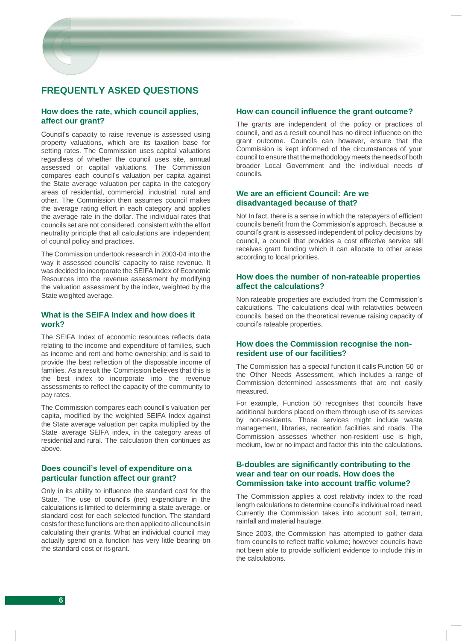## **FREQUENTLY ASKED QUESTIONS**

### **How does the rate, which council applies, affect our grant?**

Council's capacity to raise revenue is assessed using property valuations, which are its taxation base for setting rates. The Commission uses capital valuations regardless of whether the council uses site, annual assessed or capital valuations. The Commission compares each council's valuation per capita against the State average valuation per capita in the category areas of residential, commercial, industrial, rural and other. The Commission then assumes council makes the average rating effort in each category and applies the average rate in the dollar. The individual rates that councils set are not considered, consistent with the effort neutrality principle that all calculations are independent of council policy and practices.

The Commission undertook research in 2003-04 into the way it assessed councils' capacity to raise revenue. It was decided to incorporate the SEIFA Index of Economic Resources into the revenue assessment by modifying the valuation assessment by the index, weighted by the State weighted average.

## **What is the SEIFA Index and how does it work?**

The SEIFA Index of economic resources reflects data relating to the income and expenditure of families, such as income and rent and home ownership; and is said to provide the best reflection of the disposable income of families. As a result the Commission believes that this is the best index to incorporate into the revenue assessments to reflect the capacity of the community to pay rates.

The Commission compares each council's valuation per capita, modified by the weighted SEIFA Index against the State average valuation per capita multiplied by the State average SEIFA index, in the category areas of residential and rural. The calculation then continues as above.

### **Does council's level of expenditure ona particular function affect our grant?**

Only in its ability to influence the standard cost for the State. The use of council's (net) expenditure in the calculations is limited to determining a state average, or standard cost for each selected function. The standard costs for these functions are then applied to all councils in calculating their grants. What an individual council may actually spend on a function has very little bearing on the standard cost or its grant.

### **How can council influence the grant outcome?**

The grants are independent of the policy or practices of council, and as a result council has no direct influence on the grant outcome. Councils can however, ensure that the Commission is kept informed of the circumstances of your council to ensure that the methodologymeets the needsof both broader Local Government and the individual needs of councils.

## **We are an efficient Council: Are we disadvantaged because of that?**

No! In fact, there is a sense in which the ratepayers of efficient councils benefit from the Commission's approach. Because a council's grant is assessed independent of policy decisions by council, a council that provides a cost effective service still receives grant funding which it can allocate to other areas according to local priorities.

### **How does the number of non-rateable properties affect the calculations?**

Non rateable properties are excluded from the Commission's calculations. The calculations deal with relativities between councils, based on the theoretical revenue raising capacity of council's rateable properties.

## **How does the Commission recognise the nonresident use of our facilities?**

The Commission has a special function it calls Function 50 or the Other Needs Assessment, which includes a range of Commission determined assessments that are not easily measured.

For example, Function 50 recognises that councils have additional burdens placed on them through use of its services by non-residents. Those services might include waste management, libraries, recreation facilities and roads. The Commission assesses whether non-resident use is high, medium, low or no impact and factor this into the calculations.

## **B-doubles are significantly contributing to the wear and tear on our roads. How does the Commission take into account traffic volume?**

The Commission applies a cost relativity index to the road length calculations to determine council's individual road need. Currently the Commission takes into account soil, terrain, rainfall and material haulage.

Since 2003, the Commission has attempted to gather data from councils to reflect traffic volume; however councils have not been able to provide sufficient evidence to include this in the calculations.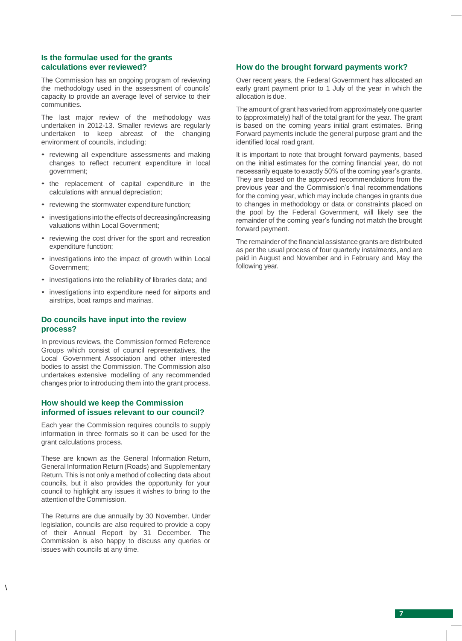### **Is the formulae used for the grants calculations ever reviewed?**

The Commission has an ongoing program of reviewing the methodology used in the assessment of councils' capacity to provide an average level of service to their communities.

The last major review of the methodology was undertaken in 2012-13. Smaller reviews are regularly undertaken to keep abreast of the changing environment of councils, including:

- reviewing all expenditure assessments and making changes to reflect recurrent expenditure in local government;
- the replacement of capital expenditure in the calculations with annual depreciation;
- reviewing the stormwater expenditure function;
- investigations into the effectsof decreasing/increasing valuations within Local Government;
- reviewing the cost driver for the sport and recreation expenditure function;
- investigations into the impact of growth within Local Government;
- investigations into the reliability of libraries data; and
- investigations into expenditure need for airports and airstrips, boat ramps and marinas.

### **Do councils have input into the review process?**

In previous reviews, the Commission formed Reference Groups which consist of council representatives, the Local Government Association and other interested bodies to assist the Commission. The Commission also undertakes extensive modelling of any recommended changes prior to introducing them into the grant process.

## **How should we keep the Commission informed of issues relevant to our council?**

Each year the Commission requires councils to supply information in three formats so it can be used for the grant calculations process.

These are known as the General Information Return, General Information Return (Roads) and Supplementary Return. This is not only a method of collecting data about councils, but it also provides the opportunity for your council to highlight any issues it wishes to bring to the attention of the Commission.

The Returns are due annually by 30 November. Under legislation, councils are also required to provide a copy of their Annual Report by 31 December. The Commission is also happy to discuss any queries or issues with councils at any time.

 $\setminus$ 

### **How do the brought forward payments work?**

Over recent years, the Federal Government has allocated an early grant payment prior to 1 July of the year in which the allocation is due.

The amount of grant has varied from approximately one quarter to (approximately) half of the total grant for the year. The grant is based on the coming years initial grant estimates. Bring Forward payments include the general purpose grant and the identified local road grant.

It is important to note that brought forward payments, based on the initial estimates for the coming financial year, do not necessarily equate to exactly 50% of the coming year's grants. They are based on the approved recommendations from the previous year and the Commission's final recommendations for the coming year, which may include changes in grants due to changes in methodology or data or constraints placed on the pool by the Federal Government, will likely see the remainder of the coming year's funding not match the brought forward payment.

The remainder of the financial assistance grants are distributed as per the usual process of four quarterly instalments, and are paid in August and November and in February and May the following year.